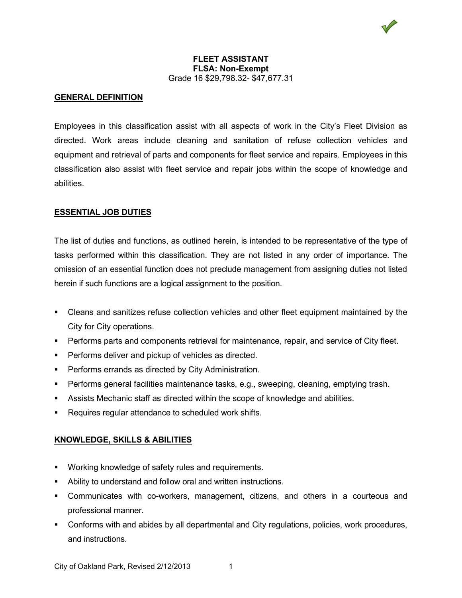

#### **FLEET ASSISTANT FLSA: Non-Exempt** Grade 16 \$29,798.32- \$47,677.31

#### **GENERAL DEFINITION**

Employees in this classification assist with all aspects of work in the City's Fleet Division as directed. Work areas include cleaning and sanitation of refuse collection vehicles and equipment and retrieval of parts and components for fleet service and repairs. Employees in this classification also assist with fleet service and repair jobs within the scope of knowledge and abilities.

### **ESSENTIAL JOB DUTIES**

The list of duties and functions, as outlined herein, is intended to be representative of the type of tasks performed within this classification. They are not listed in any order of importance. The omission of an essential function does not preclude management from assigning duties not listed herein if such functions are a logical assignment to the position.

- Cleans and sanitizes refuse collection vehicles and other fleet equipment maintained by the City for City operations.
- Performs parts and components retrieval for maintenance, repair, and service of City fleet.
- **Performs deliver and pickup of vehicles as directed.**
- **Performs errands as directed by City Administration.**
- Performs general facilities maintenance tasks, e.g., sweeping, cleaning, emptying trash.
- Assists Mechanic staff as directed within the scope of knowledge and abilities.
- Requires regular attendance to scheduled work shifts.

# **KNOWLEDGE, SKILLS & ABILITIES**

- **Working knowledge of safety rules and requirements.**
- Ability to understand and follow oral and written instructions.
- Communicates with co-workers, management, citizens, and others in a courteous and professional manner.
- Conforms with and abides by all departmental and City regulations, policies, work procedures, and instructions.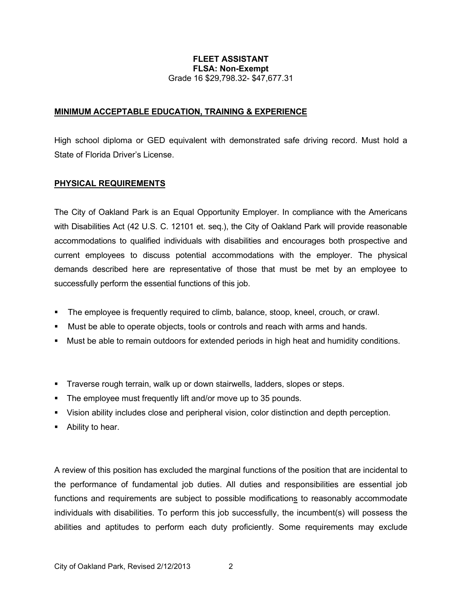## **FLEET ASSISTANT FLSA: Non-Exempt** Grade 16 \$29,798.32- \$47,677.31

## **MINIMUM ACCEPTABLE EDUCATION, TRAINING & EXPERIENCE**

High school diploma or GED equivalent with demonstrated safe driving record. Must hold a State of Florida Driver's License.

### **PHYSICAL REQUIREMENTS**

The City of Oakland Park is an Equal Opportunity Employer. In compliance with the Americans with Disabilities Act (42 U.S. C. 12101 et. seq.), the City of Oakland Park will provide reasonable accommodations to qualified individuals with disabilities and encourages both prospective and current employees to discuss potential accommodations with the employer. The physical demands described here are representative of those that must be met by an employee to successfully perform the essential functions of this job.

- The employee is frequently required to climb, balance, stoop, kneel, crouch, or crawl.
- Must be able to operate objects, tools or controls and reach with arms and hands.
- Must be able to remain outdoors for extended periods in high heat and humidity conditions.
- Traverse rough terrain, walk up or down stairwells, ladders, slopes or steps.
- The employee must frequently lift and/or move up to 35 pounds.
- Vision ability includes close and peripheral vision, color distinction and depth perception.
- Ability to hear.

A review of this position has excluded the marginal functions of the position that are incidental to the performance of fundamental job duties. All duties and responsibilities are essential job functions and requirements are subject to possible modifications to reasonably accommodate individuals with disabilities. To perform this job successfully, the incumbent(s) will possess the abilities and aptitudes to perform each duty proficiently. Some requirements may exclude